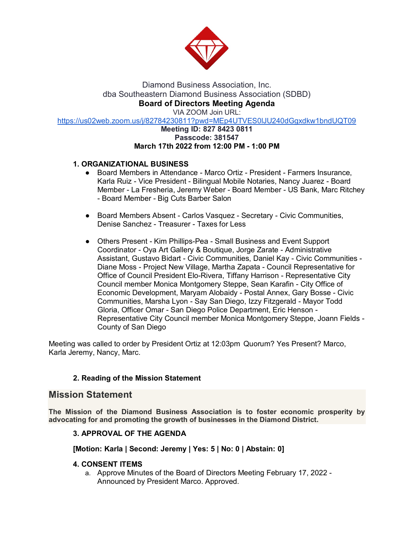

# Diamond Business Association, Inc. dba Southeastern Diamond Business Association (SDBD) **Board of Directors Meeting Agenda**

VIA ZOOM Join URL:

[https://us02web.zoom.us/j/82784230811?pwd=MEp4UTVES0lJU240dGgxdkw1bndUQT09](about:blank)

### **Meeting ID: 827 8423 0811 Passcode: 381547 March 17th 2022 from 12:00 PM - 1:00 PM**

## **1. ORGANIZATIONAL BUSINESS**

- Board Members in Attendance Marco Ortiz President Farmers Insurance, Karla Ruiz - Vice President - Bilingual Mobile Notaries, Nancy Juarez - Board Member - La Fresheria, Jeremy Weber - Board Member - US Bank, Marc Ritchey - Board Member - Big Cuts Barber Salon
- Board Members Absent Carlos Vasquez Secretary Civic Communities, Denise Sanchez - Treasurer - Taxes for Less
- Others Present Kim Phillips-Pea Small Business and Event Support Coordinator - Oya Art Gallery & Boutique, Jorge Zarate - Administrative Assistant, Gustavo Bidart - Civic Communities, Daniel Kay - Civic Communities - Diane Moss - Project New Village, Martha Zapata - Council Representative for Office of Council President Elo-Rivera, Tiffany Harrison - Representative City Council member Monica Montgomery Steppe, Sean Karafin - City Office of Economic Development, Maryam Alobaidy - Postal Annex, Gary Bosse - Civic Communities, Marsha Lyon - Say San Diego, Izzy Fitzgerald - Mayor Todd Gloria, Officer Omar - San Diego Police Department, Eric Henson - Representative City Council member Monica Montgomery Steppe, Joann Fields - County of San Diego

Meeting was called to order by President Ortiz at 12:03pm Quorum? Yes Present? Marco, Karla Jeremy, Nancy, Marc.

## **2. Reading of the Mission Statement**

## **Mission Statement**

**The Mission of the Diamond Business Association is to foster economic prosperity by advocating for and promoting the growth of businesses in the Diamond District.**

## **3. APPROVAL OF THE AGENDA**

#### **[Motion: Karla | Second: Jeremy | Yes: 5 | No: 0 | Abstain: 0]**

#### **4. CONSENT ITEMS**

a. Approve Minutes of the Board of Directors Meeting February 17, 2022 - Announced by President Marco. Approved.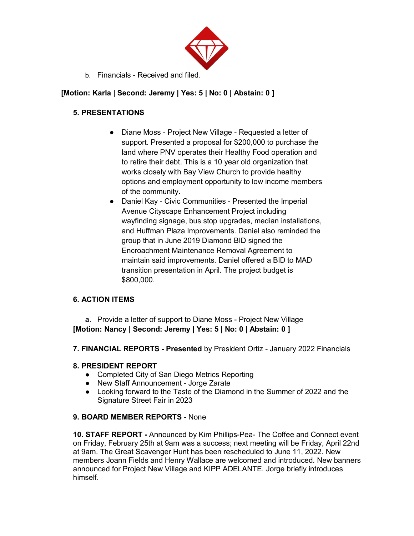

b. Financials - Received and filed.

# **[Motion: Karla | Second: Jeremy | Yes: 5 | No: 0 | Abstain: 0 ]**

# **5. PRESENTATIONS**

- Diane Moss Project New Village Requested a letter of support. Presented a proposal for \$200,000 to purchase the land where PNV operates their Healthy Food operation and to retire their debt. This is a 10 year old organization that works closely with Bay View Church to provide healthy options and employment opportunity to low income members of the community.
- Daniel Kay Civic Communities Presented the Imperial Avenue Cityscape Enhancement Project including wayfinding signage, bus stop upgrades, median installations, and Huffman Plaza Improvements. Daniel also reminded the group that in June 2019 Diamond BID signed the Encroachment Maintenance Removal Agreement to maintain said improvements. Daniel offered a BID to MAD transition presentation in April. The project budget is \$800,000.

# **6. ACTION ITEMS**

**a.** Provide a letter of support to Diane Moss - Project New Village **[Motion: Nancy | Second: Jeremy | Yes: 5 | No: 0 | Abstain: 0 ]**

**7. FINANCIAL REPORTS - Presented** by President Ortiz - January 2022 Financials

# **8. PRESIDENT REPORT**

- Completed City of San Diego Metrics Reporting
- New Staff Announcement Jorge Zarate
- Looking forward to the Taste of the Diamond in the Summer of 2022 and the Signature Street Fair in 2023

# **9. BOARD MEMBER REPORTS -** None

**10. STAFF REPORT -** Announced by Kim Phillips-Pea- The Coffee and Connect event on Friday, February 25th at 9am was a success; next meeting will be Friday, April 22nd at 9am. The Great Scavenger Hunt has been rescheduled to June 11, 2022. New members Joann Fields and Henry Wallace are welcomed and introduced. New banners announced for Project New Village and KIPP ADELANTE. Jorge briefly introduces himself.